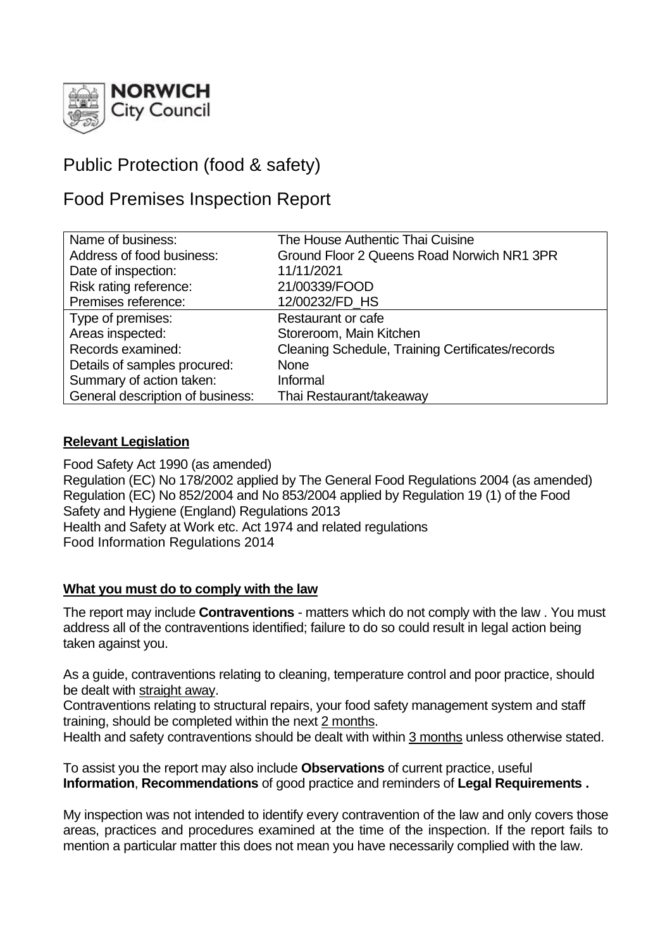

# Public Protection (food & safety)

## Food Premises Inspection Report

| Name of business:                | The House Authentic Thai Cuisine                 |
|----------------------------------|--------------------------------------------------|
| Address of food business:        | Ground Floor 2 Queens Road Norwich NR1 3PR       |
| Date of inspection:              | 11/11/2021                                       |
| Risk rating reference:           | 21/00339/FOOD                                    |
| Premises reference:              | 12/00232/FD_HS                                   |
| Type of premises:                | <b>Restaurant or cafe</b>                        |
| Areas inspected:                 | Storeroom, Main Kitchen                          |
| Records examined:                | Cleaning Schedule, Training Certificates/records |
| Details of samples procured:     | <b>None</b>                                      |
| Summary of action taken:         | Informal                                         |
| General description of business: | Thai Restaurant/takeaway                         |

#### **Relevant Legislation**

Food Safety Act 1990 (as amended) Regulation (EC) No 178/2002 applied by The General Food Regulations 2004 (as amended) Regulation (EC) No 852/2004 and No 853/2004 applied by Regulation 19 (1) of the Food Safety and Hygiene (England) Regulations 2013 Health and Safety at Work etc. Act 1974 and related regulations Food Information Regulations 2014

#### **What you must do to comply with the law**

The report may include **Contraventions** - matters which do not comply with the law . You must address all of the contraventions identified; failure to do so could result in legal action being taken against you.

As a guide, contraventions relating to cleaning, temperature control and poor practice, should be dealt with straight away.

Contraventions relating to structural repairs, your food safety management system and staff training, should be completed within the next 2 months.

Health and safety contraventions should be dealt with within 3 months unless otherwise stated.

To assist you the report may also include **Observations** of current practice, useful **Information**, **Recommendations** of good practice and reminders of **Legal Requirements .**

My inspection was not intended to identify every contravention of the law and only covers those areas, practices and procedures examined at the time of the inspection. If the report fails to mention a particular matter this does not mean you have necessarily complied with the law.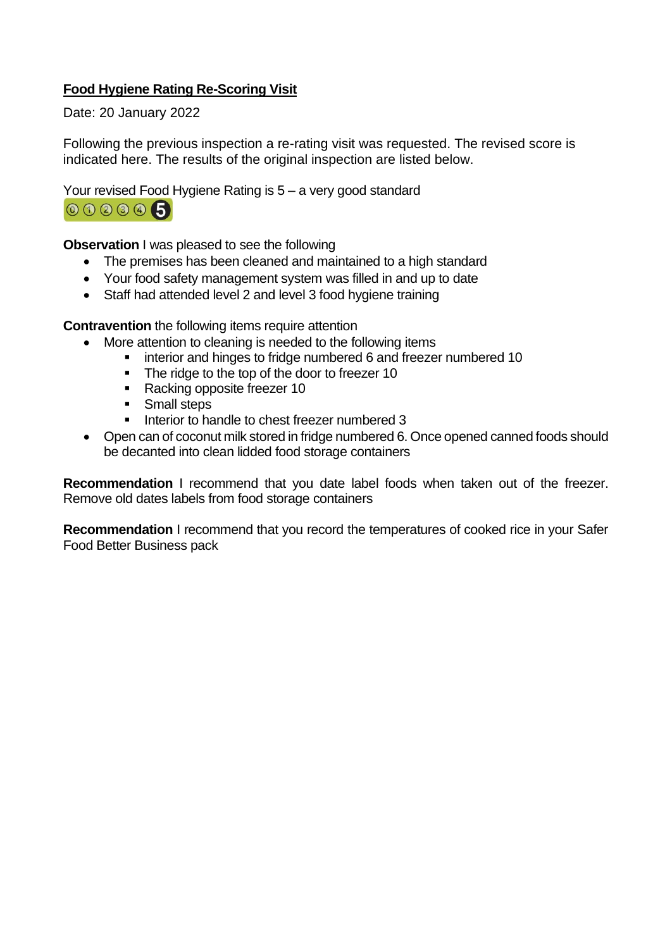## **Food Hygiene Rating Re-Scoring Visit**

Date: 20 January 2022

Following the previous inspection a re-rating visit was requested. The revised score is indicated here. The results of the original inspection are listed below.

Your revised Food Hygiene Rating is 5 – a very good standard



**Observation** I was pleased to see the following

- The premises has been cleaned and maintained to a high standard
- Your food safety management system was filled in and up to date
- Staff had attended level 2 and level 3 food hygiene training

**Contravention** the following items require attention

- More attention to cleaning is needed to the following items
	- interior and hinges to fridge numbered 6 and freezer numbered 10
	- The ridge to the top of the door to freezer 10
	- Racking opposite freezer 10
	- Small steps
	- Interior to handle to chest freezer numbered 3
- Open can of coconut milk stored in fridge numbered 6. Once opened canned foods should be decanted into clean lidded food storage containers

**Recommendation** I recommend that you date label foods when taken out of the freezer. Remove old dates labels from food storage containers

**Recommendation** I recommend that you record the temperatures of cooked rice in your Safer Food Better Business pack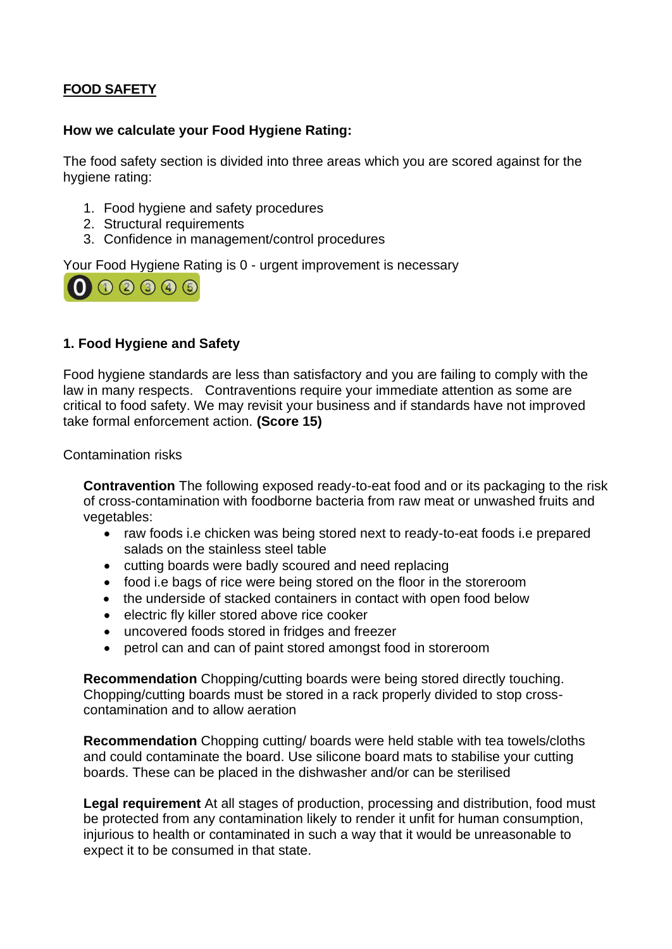## **FOOD SAFETY**

#### **How we calculate your Food Hygiene Rating:**

The food safety section is divided into three areas which you are scored against for the hygiene rating:

- 1. Food hygiene and safety procedures
- 2. Structural requirements
- 3. Confidence in management/control procedures

Your Food Hygiene Rating is 0 - urgent improvement is necessary



#### **1. Food Hygiene and Safety**

Food hygiene standards are less than satisfactory and you are failing to comply with the law in many respects. Contraventions require your immediate attention as some are critical to food safety. We may revisit your business and if standards have not improved take formal enforcement action. **(Score 15)**

Contamination risks

**Contravention** The following exposed ready-to-eat food and or its packaging to the risk of cross-contamination with foodborne bacteria from raw meat or unwashed fruits and vegetables:

- raw foods i.e chicken was being stored next to ready-to-eat foods i.e prepared salads on the stainless steel table
- cutting boards were badly scoured and need replacing
- food i.e bags of rice were being stored on the floor in the storeroom
- the underside of stacked containers in contact with open food below
- electric fly killer stored above rice cooker
- uncovered foods stored in fridges and freezer
- petrol can and can of paint stored amongst food in storeroom

**Recommendation** Chopping/cutting boards were being stored directly touching. Chopping/cutting boards must be stored in a rack properly divided to stop crosscontamination and to allow aeration

**Recommendation** Chopping cutting/ boards were held stable with tea towels/cloths and could contaminate the board. Use silicone board mats to stabilise your cutting boards. These can be placed in the dishwasher and/or can be sterilised

**Legal requirement** At all stages of production, processing and distribution, food must be protected from any contamination likely to render it unfit for human consumption, injurious to health or contaminated in such a way that it would be unreasonable to expect it to be consumed in that state.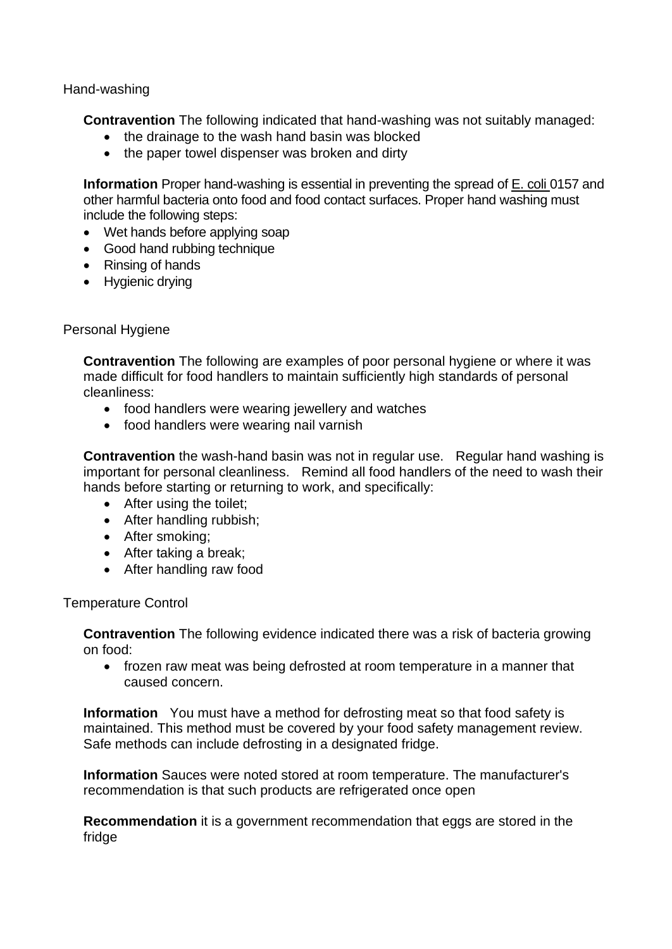Hand-washing

**Contravention** The following indicated that hand-washing was not suitably managed:

- the drainage to the wash hand basin was blocked
- the paper towel dispenser was broken and dirty

**Information** Proper hand-washing is essential in preventing the spread of E. coli 0157 and other harmful bacteria onto food and food contact surfaces. Proper hand washing must include the following steps:

- Wet hands before applying soap
- Good hand rubbing technique
- Rinsing of hands
- Hygienic drying

#### Personal Hygiene

**Contravention** The following are examples of poor personal hygiene or where it was made difficult for food handlers to maintain sufficiently high standards of personal cleanliness:

- food handlers were wearing jewellery and watches
- food handlers were wearing nail varnish

**Contravention** the wash-hand basin was not in regular use. Regular hand washing is important for personal cleanliness. Remind all food handlers of the need to wash their hands before starting or returning to work, and specifically:

- After using the toilet;
- After handling rubbish;
- After smoking;
- After taking a break;
- After handling raw food

#### Temperature Control

**Contravention** The following evidence indicated there was a risk of bacteria growing on food:

• frozen raw meat was being defrosted at room temperature in a manner that caused concern.

**Information** You must have a method for defrosting meat so that food safety is maintained. This method must be covered by your food safety management review. Safe methods can include defrosting in a designated fridge.

**Information** Sauces were noted stored at room temperature. The manufacturer's recommendation is that such products are refrigerated once open

**Recommendation** it is a government recommendation that eggs are stored in the fridge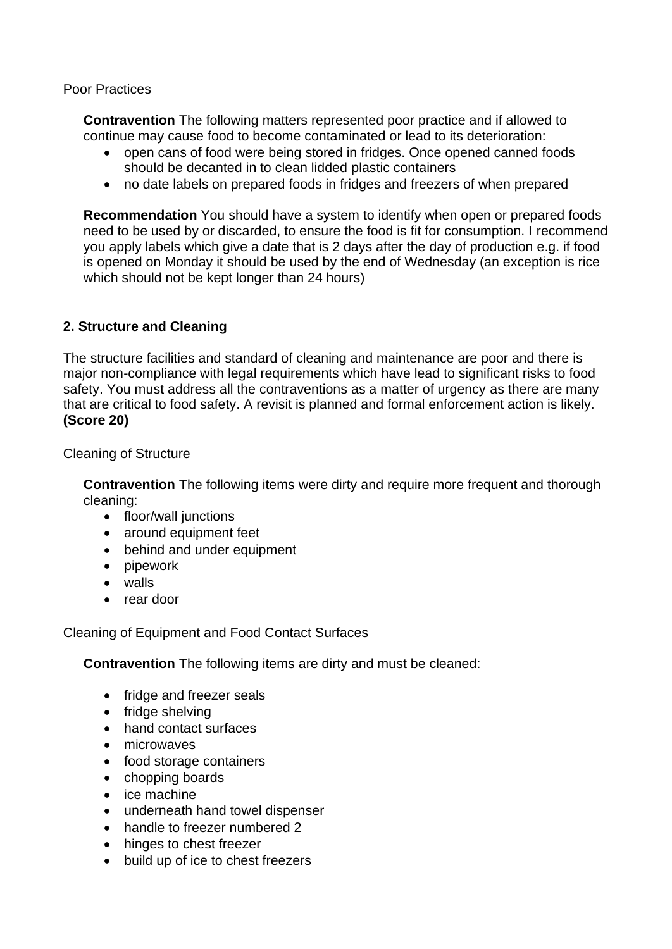Poor Practices

**Contravention** The following matters represented poor practice and if allowed to continue may cause food to become contaminated or lead to its deterioration:

- open cans of food were being stored in fridges. Once opened canned foods should be decanted in to clean lidded plastic containers
- no date labels on prepared foods in fridges and freezers of when prepared

**Recommendation** You should have a system to identify when open or prepared foods need to be used by or discarded, to ensure the food is fit for consumption. I recommend you apply labels which give a date that is 2 days after the day of production e.g. if food is opened on Monday it should be used by the end of Wednesday (an exception is rice which should not be kept longer than 24 hours)

### **2. Structure and Cleaning**

The structure facilities and standard of cleaning and maintenance are poor and there is major non-compliance with legal requirements which have lead to significant risks to food safety. You must address all the contraventions as a matter of urgency as there are many that are critical to food safety. A revisit is planned and formal enforcement action is likely. **(Score 20)**

Cleaning of Structure

**Contravention** The following items were dirty and require more frequent and thorough cleaning:

- floor/wall junctions
- around equipment feet
- behind and under equipment
- pipework
- walls
- rear door

Cleaning of Equipment and Food Contact Surfaces

**Contravention** The following items are dirty and must be cleaned:

- fridge and freezer seals
- fridge shelving
- hand contact surfaces
- microwaves
- food storage containers
- chopping boards
- ice machine
- underneath hand towel dispenser
- handle to freezer numbered 2
- hinges to chest freezer
- build up of ice to chest freezers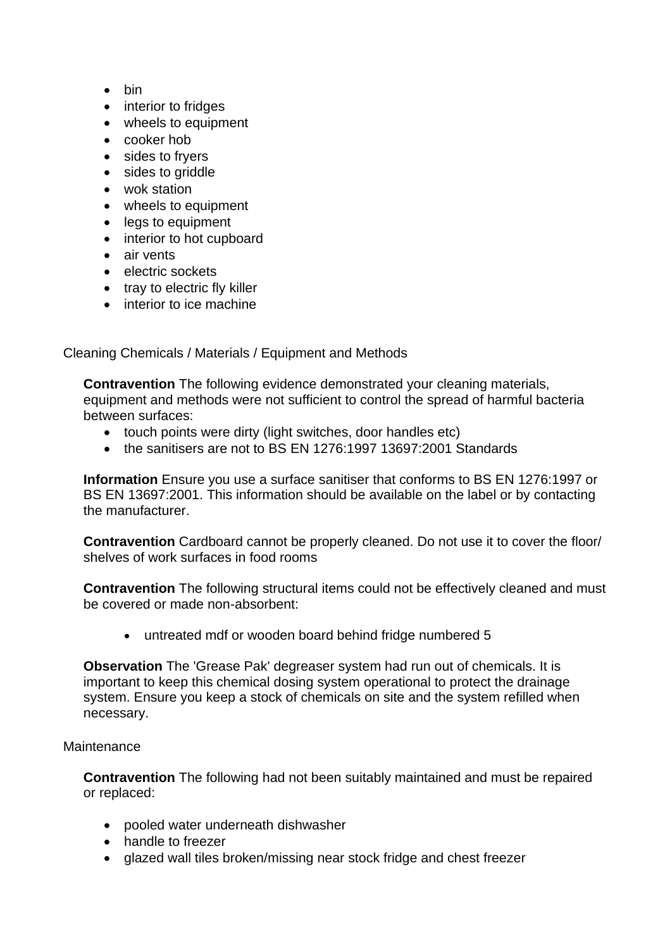- bin
- interior to fridges
- wheels to equipment
- cooker hob
- sides to fryers
- sides to griddle
- wok station
- wheels to equipment
- legs to equipment
- interior to hot cupboard
- air vents
- electric sockets
- tray to electric fly killer
- interior to ice machine

Cleaning Chemicals / Materials / Equipment and Methods

**Contravention** The following evidence demonstrated your cleaning materials, equipment and methods were not sufficient to control the spread of harmful bacteria between surfaces:

- touch points were dirty (light switches, door handles etc)
- the sanitisers are not to BS EN 1276:1997 13697:2001 Standards

**Information** Ensure you use a surface sanitiser that conforms to BS EN 1276:1997 or BS EN 13697:2001. This information should be available on the label or by contacting the manufacturer.

**Contravention** Cardboard cannot be properly cleaned. Do not use it to cover the floor/ shelves of work surfaces in food rooms

**Contravention** The following structural items could not be effectively cleaned and must be covered or made non-absorbent:

• untreated mdf or wooden board behind fridge numbered 5

**Observation** The 'Grease Pak' degreaser system had run out of chemicals. It is important to keep this chemical dosing system operational to protect the drainage system. Ensure you keep a stock of chemicals on site and the system refilled when necessary.

#### **Maintenance**

**Contravention** The following had not been suitably maintained and must be repaired or replaced:

- pooled water underneath dishwasher
- handle to freezer
- glazed wall tiles broken/missing near stock fridge and chest freezer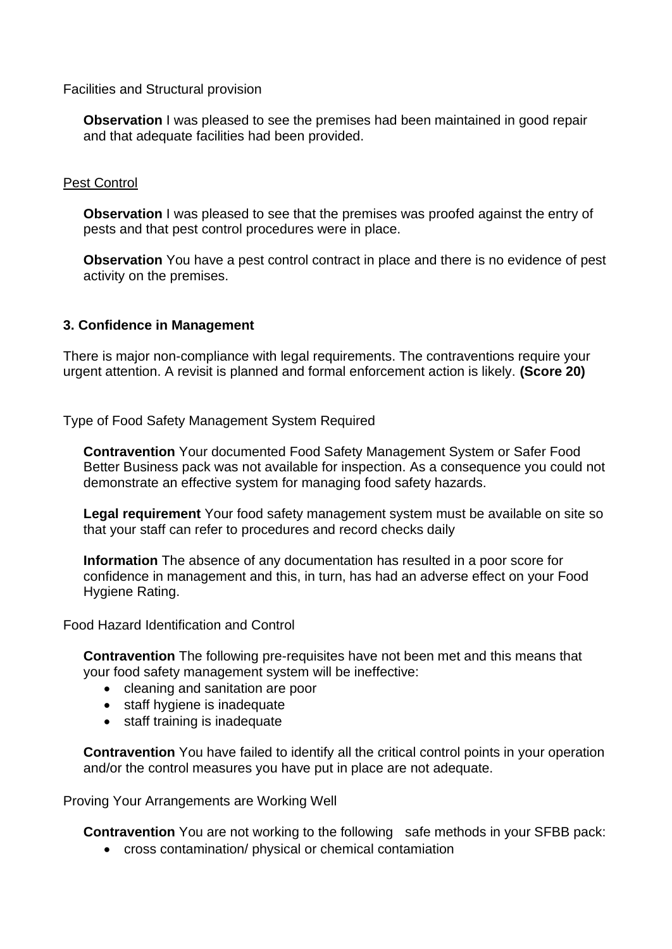Facilities and Structural provision

**Observation** I was pleased to see the premises had been maintained in good repair and that adequate facilities had been provided.

#### Pest Control

**Observation** I was pleased to see that the premises was proofed against the entry of pests and that pest control procedures were in place.

**Observation** You have a pest control contract in place and there is no evidence of pest activity on the premises.

#### **3. Confidence in Management**

There is major non-compliance with legal requirements. The contraventions require your urgent attention. A revisit is planned and formal enforcement action is likely. **(Score 20)**

Type of Food Safety Management System Required

**Contravention** Your documented Food Safety Management System or Safer Food Better Business pack was not available for inspection. As a consequence you could not demonstrate an effective system for managing food safety hazards.

**Legal requirement** Your food safety management system must be available on site so that your staff can refer to procedures and record checks daily

**Information** The absence of any documentation has resulted in a poor score for confidence in management and this, in turn, has had an adverse effect on your Food Hygiene Rating.

Food Hazard Identification and Control

**Contravention** The following pre-requisites have not been met and this means that your food safety management system will be ineffective:

- cleaning and sanitation are poor
- staff hygiene is inadequate
- staff training is inadequate

**Contravention** You have failed to identify all the critical control points in your operation and/or the control measures you have put in place are not adequate.

Proving Your Arrangements are Working Well

**Contravention** You are not working to the following safe methods in your SFBB pack:

• cross contamination/ physical or chemical contamiation